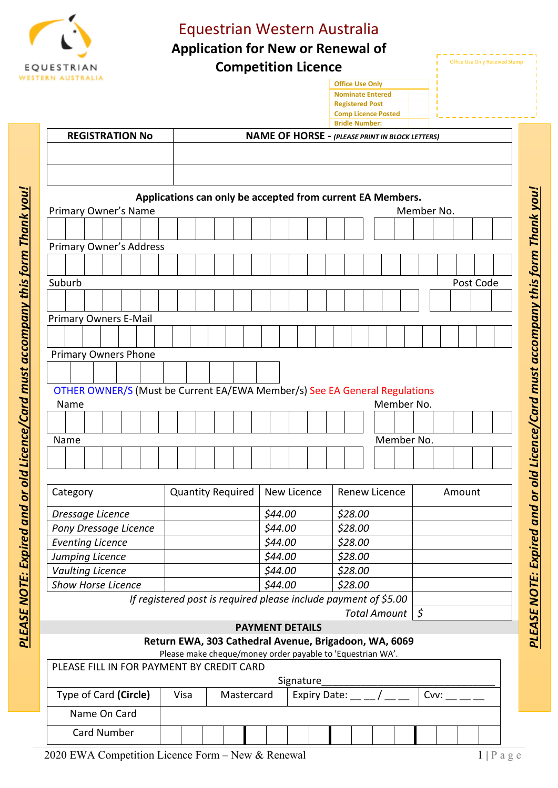

## Equestrian Western Australia

**Application for New or Renewal of** 

**Competition Licence**

**Office Use Only Nominate Entered Registered Post Comp Licence Posted**

| <b>Office Use Only Received Stamp</b> |
|---------------------------------------|
|                                       |
|                                       |

|                                                      |                        |        |  |                              |  |                                                                            |                                                    |                                                        |  |                          |                                                            |             |                        |                      |  |         | <b>Bridle Number:</b> |  |                     |  |            |  |            |           |  |  |
|------------------------------------------------------|------------------------|--------|--|------------------------------|--|----------------------------------------------------------------------------|----------------------------------------------------|--------------------------------------------------------|--|--------------------------|------------------------------------------------------------|-------------|------------------------|----------------------|--|---------|-----------------------|--|---------------------|--|------------|--|------------|-----------|--|--|
|                                                      | <b>REGISTRATION No</b> |        |  |                              |  |                                                                            |                                                    | <b>NAME OF HORSE - (PLEASE PRINT IN BLOCK LETTERS)</b> |  |                          |                                                            |             |                        |                      |  |         |                       |  |                     |  |            |  |            |           |  |  |
|                                                      |                        |        |  |                              |  |                                                                            |                                                    |                                                        |  |                          |                                                            |             |                        |                      |  |         |                       |  |                     |  |            |  |            |           |  |  |
|                                                      |                        |        |  |                              |  |                                                                            |                                                    |                                                        |  |                          |                                                            |             |                        |                      |  |         |                       |  |                     |  |            |  |            |           |  |  |
|                                                      |                        |        |  |                              |  | Applications can only be accepted from current EA Members.                 |                                                    |                                                        |  |                          |                                                            |             |                        |                      |  |         |                       |  |                     |  |            |  |            |           |  |  |
|                                                      |                        |        |  | Primary Owner's Name         |  |                                                                            |                                                    |                                                        |  |                          |                                                            |             |                        |                      |  |         |                       |  |                     |  |            |  | Member No. |           |  |  |
|                                                      |                        |        |  |                              |  |                                                                            |                                                    |                                                        |  |                          |                                                            |             |                        |                      |  |         |                       |  |                     |  |            |  |            |           |  |  |
|                                                      |                        |        |  |                              |  | <b>Primary Owner's Address</b>                                             |                                                    |                                                        |  |                          |                                                            |             |                        |                      |  |         |                       |  |                     |  |            |  |            |           |  |  |
|                                                      |                        |        |  |                              |  |                                                                            |                                                    |                                                        |  |                          |                                                            |             |                        |                      |  |         |                       |  |                     |  |            |  |            |           |  |  |
|                                                      |                        | Suburb |  |                              |  |                                                                            |                                                    |                                                        |  |                          |                                                            |             |                        |                      |  |         |                       |  |                     |  |            |  |            | Post Code |  |  |
|                                                      |                        |        |  |                              |  |                                                                            |                                                    |                                                        |  |                          |                                                            |             |                        |                      |  |         |                       |  |                     |  |            |  |            |           |  |  |
|                                                      |                        |        |  | <b>Primary Owners E-Mail</b> |  |                                                                            |                                                    |                                                        |  |                          |                                                            |             |                        |                      |  |         |                       |  |                     |  |            |  |            |           |  |  |
|                                                      |                        |        |  |                              |  |                                                                            |                                                    |                                                        |  |                          |                                                            |             |                        |                      |  |         |                       |  |                     |  |            |  |            |           |  |  |
|                                                      |                        |        |  | <b>Primary Owners Phone</b>  |  |                                                                            |                                                    |                                                        |  |                          |                                                            |             |                        |                      |  |         |                       |  |                     |  |            |  |            |           |  |  |
|                                                      |                        |        |  |                              |  |                                                                            |                                                    |                                                        |  |                          |                                                            |             |                        |                      |  |         |                       |  |                     |  |            |  |            |           |  |  |
|                                                      |                        |        |  |                              |  | OTHER OWNER/S (Must be Current EA/EWA Member/s) See EA General Regulations |                                                    |                                                        |  |                          |                                                            |             |                        |                      |  |         |                       |  |                     |  |            |  |            |           |  |  |
|                                                      |                        | Name   |  |                              |  |                                                                            |                                                    |                                                        |  |                          |                                                            |             |                        |                      |  |         |                       |  | Member No.          |  |            |  |            |           |  |  |
|                                                      |                        |        |  |                              |  |                                                                            |                                                    |                                                        |  |                          |                                                            |             |                        |                      |  |         |                       |  |                     |  |            |  |            |           |  |  |
|                                                      |                        |        |  |                              |  |                                                                            |                                                    |                                                        |  |                          |                                                            |             |                        |                      |  |         |                       |  |                     |  |            |  |            |           |  |  |
|                                                      |                        | Name   |  |                              |  |                                                                            |                                                    |                                                        |  |                          |                                                            |             |                        |                      |  |         |                       |  | Member No.          |  |            |  |            |           |  |  |
|                                                      |                        |        |  |                              |  |                                                                            |                                                    |                                                        |  |                          |                                                            |             |                        |                      |  |         |                       |  |                     |  |            |  |            |           |  |  |
|                                                      |                        |        |  |                              |  |                                                                            |                                                    |                                                        |  |                          |                                                            |             |                        |                      |  |         |                       |  |                     |  |            |  |            |           |  |  |
| Category                                             |                        |        |  |                              |  |                                                                            |                                                    |                                                        |  | <b>Quantity Required</b> |                                                            | New Licence |                        | <b>Renew Licence</b> |  |         |                       |  | Amount              |  |            |  |            |           |  |  |
|                                                      |                        |        |  | Dressage Licence             |  |                                                                            |                                                    |                                                        |  |                          |                                                            |             | \$44.00                |                      |  |         | \$28.00               |  |                     |  |            |  |            |           |  |  |
| Pony Dressage Licence                                |                        |        |  |                              |  |                                                                            |                                                    |                                                        |  |                          |                                                            | \$44.00     |                        | \$28.00              |  |         |                       |  |                     |  |            |  |            |           |  |  |
| <b>Eventing Licence</b>                              |                        |        |  |                              |  |                                                                            |                                                    |                                                        |  |                          |                                                            | \$44.00     |                        |                      |  | \$28.00 |                       |  |                     |  |            |  |            |           |  |  |
|                                                      |                        |        |  | Jumping Licence              |  |                                                                            |                                                    |                                                        |  |                          |                                                            |             | \$44.00                |                      |  |         | \$28.00               |  |                     |  |            |  |            |           |  |  |
| <b>Vaulting Licence</b><br><b>Show Horse Licence</b> |                        |        |  |                              |  |                                                                            |                                                    |                                                        |  |                          |                                                            | \$44.00     |                        |                      |  | \$28.00 |                       |  |                     |  |            |  |            |           |  |  |
|                                                      |                        |        |  |                              |  |                                                                            |                                                    |                                                        |  |                          |                                                            |             | \$44.00                |                      |  |         | \$28.00               |  |                     |  |            |  |            |           |  |  |
|                                                      |                        |        |  |                              |  | If registered post is required please include payment of \$5.00            |                                                    |                                                        |  |                          |                                                            |             |                        |                      |  |         |                       |  |                     |  |            |  |            |           |  |  |
|                                                      |                        |        |  |                              |  |                                                                            |                                                    |                                                        |  |                          |                                                            |             |                        |                      |  |         |                       |  | <b>Total Amount</b> |  | $\sqrt{5}$ |  |            |           |  |  |
|                                                      |                        |        |  |                              |  |                                                                            |                                                    |                                                        |  |                          | Return EWA, 303 Cathedral Avenue, Brigadoon, WA, 6069      |             | <b>PAYMENT DETAILS</b> |                      |  |         |                       |  |                     |  |            |  |            |           |  |  |
|                                                      |                        |        |  |                              |  |                                                                            |                                                    |                                                        |  |                          | Please make cheque/money order payable to 'Equestrian WA'. |             |                        |                      |  |         |                       |  |                     |  |            |  |            |           |  |  |
|                                                      |                        |        |  |                              |  | PLEASE FILL IN FOR PAYMENT BY CREDIT CARD                                  |                                                    |                                                        |  |                          |                                                            |             |                        |                      |  |         |                       |  |                     |  |            |  |            |           |  |  |
|                                                      |                        |        |  |                              |  |                                                                            |                                                    |                                                        |  |                          |                                                            |             |                        | Signature            |  |         |                       |  |                     |  |            |  |            |           |  |  |
| Type of Card (Circle)                                |                        |        |  |                              |  |                                                                            | Expiry Date: $\_\_$ / $\_\_$<br>Visa<br>Mastercard |                                                        |  |                          |                                                            |             |                        |                      |  |         | Cvv:                  |  |                     |  |            |  |            |           |  |  |
|                                                      |                        |        |  | Name On Card                 |  |                                                                            |                                                    |                                                        |  |                          |                                                            |             |                        |                      |  |         |                       |  |                     |  |            |  |            |           |  |  |
|                                                      |                        |        |  | Card Number                  |  |                                                                            |                                                    |                                                        |  |                          |                                                            |             |                        |                      |  |         |                       |  |                     |  |            |  |            |           |  |  |
|                                                      |                        |        |  |                              |  |                                                                            |                                                    |                                                        |  |                          |                                                            |             |                        |                      |  |         |                       |  |                     |  |            |  |            |           |  |  |

2020 EWA Competition Licence Form – New & Renewal 1 | P a g e